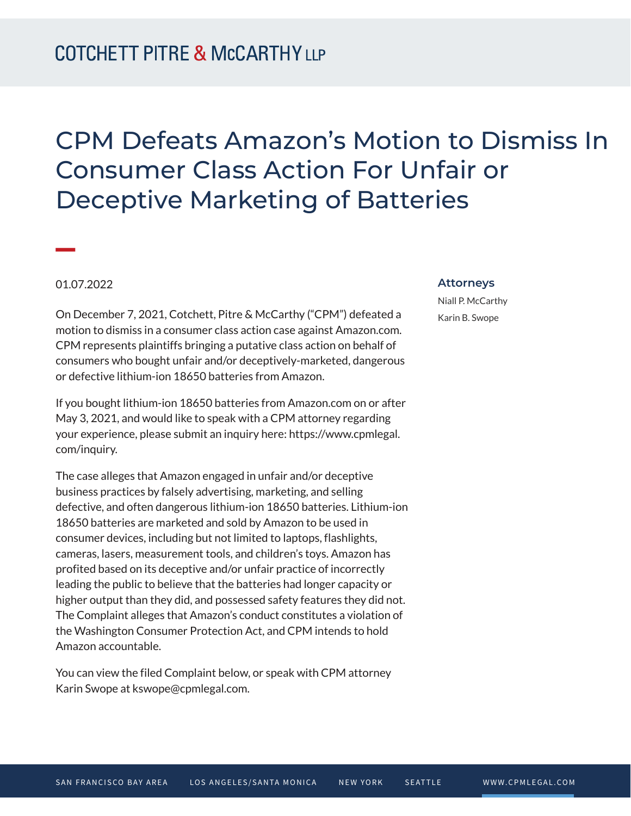## CPM Defeats Amazon's Motion to Dismiss In Consumer Class Action For Unfair or Deceptive Marketing of Batteries

## 01.07.2022

**William Company** 

On December 7, 2021, Cotchett, Pitre & McCarthy ("CPM") defeated a motion to dismiss in a consumer class action case against Amazon.com. CPM represents plaintiffs bringing a putative class action on behalf of consumers who bought unfair and/or deceptively-marketed, dangerous or defective lithium-ion 18650 batteries from Amazon.

If you bought lithium-ion 18650 batteries from Amazon.com on or after May 3, 2021, and would like to speak with a CPM attorney regarding your experience, please submit an inquiry here: https://www.cpmlegal. com/inquiry.

The case alleges that Amazon engaged in unfair and/or deceptive business practices by falsely advertising, marketing, and selling defective, and often dangerous lithium-ion 18650 batteries. Lithium-ion 18650 batteries are marketed and sold by Amazon to be used in consumer devices, including but not limited to laptops, flashlights, cameras, lasers, measurement tools, and children's toys. Amazon has profited based on its deceptive and/or unfair practice of incorrectly leading the public to believe that the batteries had longer capacity or higher output than they did, and possessed safety features they did not. The Complaint alleges that Amazon's conduct constitutes a violation of the Washington Consumer Protection Act, and CPM intends to hold Amazon accountable.

You can view the filed Complaint below, or speak with CPM attorney Karin Swope at kswope@cpmlegal.com.

## **Attorneys**

Niall P. McCarthy Karin B. Swope